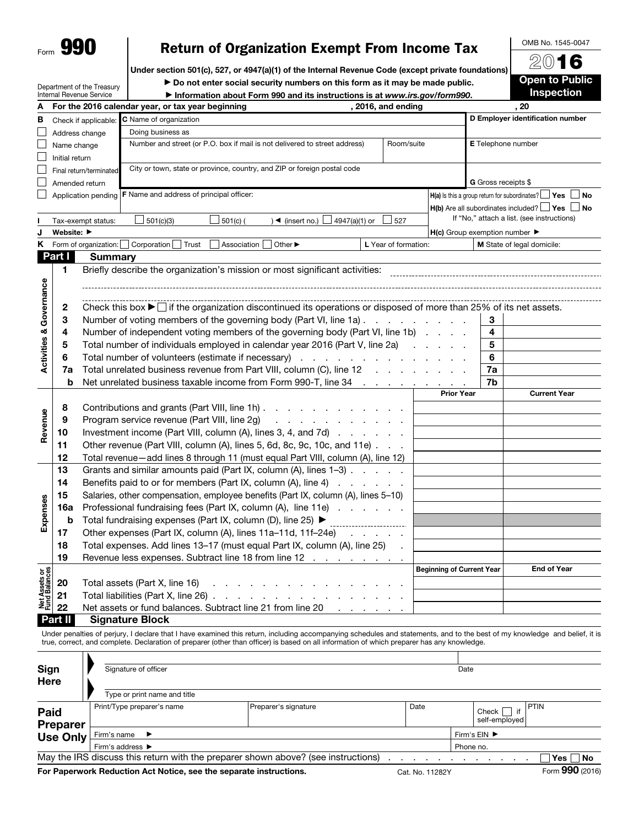| Form | a i<br>١ |
|------|----------|
|      |          |

Department of the Treasury Internal Revenue Service

## Return of Organization Exempt From Income Tax

Under section 501(c), 527, or 4947(a)(1) of the Internal Revenue Code (except private foundations)

▶ Do not enter social security numbers on this form as it may be made public. ▶ Information about Form 990 and its instructions is at *www.irs.gov/form990*.



OMB No. 1545-0047

| А                                  |                | , 2016, and ending<br>For the 2016 calendar year, or tax year beginning                                                                     |                                                     | , 20                |                                                                       |  |  |  |
|------------------------------------|----------------|---------------------------------------------------------------------------------------------------------------------------------------------|-----------------------------------------------------|---------------------|-----------------------------------------------------------------------|--|--|--|
| в                                  |                | Check if applicable: C Name of organization                                                                                                 | D Employer identification number                    |                     |                                                                       |  |  |  |
|                                    |                | Doing business as<br>Address change                                                                                                         |                                                     |                     |                                                                       |  |  |  |
|                                    | Name change    | Number and street (or P.O. box if mail is not delivered to street address)<br>Room/suite                                                    | E Telephone number                                  |                     |                                                                       |  |  |  |
|                                    | Initial return |                                                                                                                                             |                                                     |                     |                                                                       |  |  |  |
|                                    |                | City or town, state or province, country, and ZIP or foreign postal code<br>Final return/terminated                                         |                                                     |                     |                                                                       |  |  |  |
|                                    | Amended return |                                                                                                                                             |                                                     | G Gross receipts \$ |                                                                       |  |  |  |
|                                    |                | Application pending   F Name and address of principal officer:                                                                              |                                                     |                     | $H(a)$ is this a group return for subordinates? $\Box$<br>⊿ Yes<br>No |  |  |  |
|                                    |                |                                                                                                                                             |                                                     |                     | $H(b)$ Are all subordinates included? $\Box$ Yes $\Box$ No            |  |  |  |
|                                    |                | 501(c)(3)<br>$\rightarrow$ (insert no.) $\Box$ 4947(a)(1) or<br>$501(c)$ (<br>$\Box$ 527<br>Tax-exempt status:                              |                                                     |                     | If "No," attach a list. (see instructions)                            |  |  |  |
|                                    | Website: ▶     |                                                                                                                                             | $H(c)$ Group exemption number $\blacktriangleright$ |                     |                                                                       |  |  |  |
| Κ                                  |                | Form of organization:<br>Corporation<br>Trust<br>Association<br>Other $\blacktriangleright$<br>L Year of formation:                         |                                                     |                     | M State of legal domicile:                                            |  |  |  |
|                                    | Part I         | <b>Summary</b>                                                                                                                              |                                                     |                     |                                                                       |  |  |  |
|                                    | 1              | Briefly describe the organization's mission or most significant activities:                                                                 |                                                     |                     |                                                                       |  |  |  |
| <b>Activities &amp; Governance</b> |                |                                                                                                                                             |                                                     |                     |                                                                       |  |  |  |
|                                    |                |                                                                                                                                             |                                                     |                     |                                                                       |  |  |  |
|                                    | $\mathbf{2}$   | Check this box $\blacktriangleright$ $\Box$ if the organization discontinued its operations or disposed of more than 25% of its net assets. |                                                     |                     |                                                                       |  |  |  |
|                                    | 3              | Number of voting members of the governing body (Part VI, line 1a)                                                                           |                                                     | 3                   |                                                                       |  |  |  |
|                                    | 4              | Number of independent voting members of the governing body (Part VI, line 1b)                                                               |                                                     | 4                   |                                                                       |  |  |  |
|                                    | 5              | Total number of individuals employed in calendar year 2016 (Part V, line 2a)                                                                |                                                     | 5                   |                                                                       |  |  |  |
|                                    | 6              | Total number of volunteers (estimate if necessary)                                                                                          |                                                     | 6                   |                                                                       |  |  |  |
|                                    | 7a             | Total unrelated business revenue from Part VIII, column (C), line 12                                                                        | 7a                                                  |                     |                                                                       |  |  |  |
|                                    | b              | Net unrelated business taxable income from Form 990-T, line 34                                                                              | 7b                                                  |                     |                                                                       |  |  |  |
|                                    |                |                                                                                                                                             | <b>Prior Year</b>                                   | <b>Current Year</b> |                                                                       |  |  |  |
|                                    | 8              | Contributions and grants (Part VIII, line 1h)                                                                                               |                                                     |                     |                                                                       |  |  |  |
| Revenue                            | 9              | Program service revenue (Part VIII, line 2g)<br>and a series of the contract of the                                                         |                                                     |                     |                                                                       |  |  |  |
|                                    | 10             | Investment income (Part VIII, column (A), lines 3, 4, and 7d)                                                                               |                                                     |                     |                                                                       |  |  |  |
|                                    | 11             | Other revenue (Part VIII, column (A), lines 5, 6d, 8c, 9c, 10c, and 11e)                                                                    |                                                     |                     |                                                                       |  |  |  |
|                                    | 12             | Total revenue-add lines 8 through 11 (must equal Part VIII, column (A), line 12)                                                            |                                                     |                     |                                                                       |  |  |  |
|                                    | 13             | Grants and similar amounts paid (Part IX, column (A), lines 1-3)                                                                            |                                                     |                     |                                                                       |  |  |  |
|                                    | 14             | Benefits paid to or for members (Part IX, column (A), line 4)                                                                               |                                                     |                     |                                                                       |  |  |  |
| Expenses                           | 15             | Salaries, other compensation, employee benefits (Part IX, column (A), lines 5-10)                                                           |                                                     |                     |                                                                       |  |  |  |
|                                    | 16a<br>b       | Professional fundraising fees (Part IX, column (A), line 11e)<br>Total fundraising expenses (Part IX, column (D), line 25) ▶                |                                                     |                     |                                                                       |  |  |  |
|                                    | 17             | Other expenses (Part IX, column (A), lines 11a-11d, 11f-24e)                                                                                |                                                     |                     |                                                                       |  |  |  |
|                                    | 18             | and a state of the<br>Total expenses. Add lines 13-17 (must equal Part IX, column (A), line 25)                                             |                                                     |                     |                                                                       |  |  |  |
|                                    | 19             | Revenue less expenses. Subtract line 18 from line 12                                                                                        |                                                     |                     |                                                                       |  |  |  |
|                                    |                |                                                                                                                                             | <b>Beginning of Current Year</b>                    |                     | <b>End of Year</b>                                                    |  |  |  |
|                                    | 20             | Total assets (Part X, line 16)                                                                                                              |                                                     |                     |                                                                       |  |  |  |
|                                    | 21             | Total liabilities (Part X, line 26).<br>the contract of the contract of the                                                                 |                                                     |                     |                                                                       |  |  |  |
| Net Assets or<br>Fund Balances     | 22             | Net assets or fund balances. Subtract line 21 from line 20                                                                                  |                                                     |                     |                                                                       |  |  |  |
|                                    | Part II        | <b>Signature Block</b>                                                                                                                      |                                                     |                     |                                                                       |  |  |  |

Under penalties of perjury, I declare that I have examined this return, including accompanying schedules and statements, and to the best of my knowledge and belief, it is true, correct, and complete. Declaration of preparer (other than officer) is based on all information of which preparer has any knowledge.

| Sign<br>Here            | Signature of officer                                                              | Date                         |                 |  |  |                 |
|-------------------------|-----------------------------------------------------------------------------------|------------------------------|-----------------|--|--|-----------------|
|                         | Type or print name and title                                                      |                              |                 |  |  |                 |
| Paid<br><b>Preparer</b> | Print/Type preparer's name                                                        | Preparer's signature<br>Date |                 |  |  |                 |
| <b>Use Only</b>         | Firm's name $\blacktriangleright$                                                 | Firm's EIN ▶                 |                 |  |  |                 |
|                         | Firm's address $\blacktriangleright$                                              | Phone no.                    |                 |  |  |                 |
|                         | May the IRS discuss this return with the preparer shown above? (see instructions) |                              |                 |  |  | Yes ∏ No        |
|                         | For Paperwork Reduction Act Notice, see the separate instructions.                |                              | Cat. No. 11282Y |  |  | Form 990 (2016) |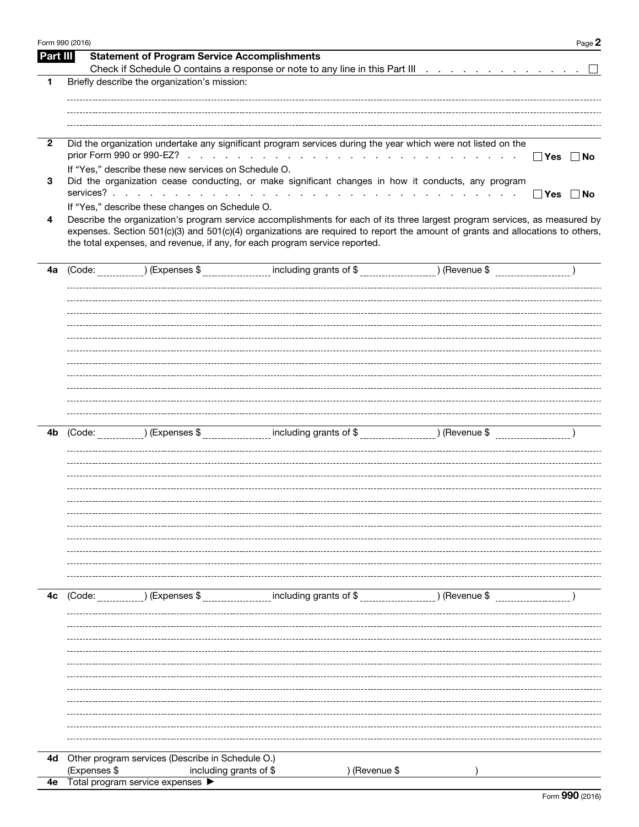|                | Form 990 (2016) |                                                          |                                                                                                                                      |                 | Page 2               |
|----------------|-----------------|----------------------------------------------------------|--------------------------------------------------------------------------------------------------------------------------------------|-----------------|----------------------|
| Part III       |                 | <b>Statement of Program Service Accomplishments</b>      |                                                                                                                                      |                 |                      |
|                |                 |                                                          |                                                                                                                                      |                 |                      |
| 1              |                 | Briefly describe the organization's mission:             |                                                                                                                                      |                 |                      |
|                |                 |                                                          |                                                                                                                                      |                 |                      |
|                |                 |                                                          |                                                                                                                                      |                 |                      |
|                |                 |                                                          |                                                                                                                                      |                 |                      |
| $\overline{2}$ |                 |                                                          | Did the organization undertake any significant program services during the year which were not listed on the                         |                 |                      |
|                |                 |                                                          |                                                                                                                                      | and the control | $\Box$ Yes $\Box$ No |
|                |                 | If "Yes," describe these new services on Schedule O.     |                                                                                                                                      |                 |                      |
| 3              |                 |                                                          | Did the organization cease conducting, or make significant changes in how it conducts, any program                                   |                 |                      |
|                |                 |                                                          |                                                                                                                                      |                 | $\Box$ Yes<br>∣ No   |
|                |                 | If "Yes," describe these changes on Schedule O.          |                                                                                                                                      |                 |                      |
| 4              |                 |                                                          | Describe the organization's program service accomplishments for each of its three largest program services, as measured by           |                 |                      |
|                |                 |                                                          | expenses. Section 501(c)(3) and 501(c)(4) organizations are required to report the amount of grants and allocations to others,       |                 |                      |
|                |                 |                                                          | the total expenses, and revenue, if any, for each program service reported.                                                          |                 |                      |
|                |                 |                                                          |                                                                                                                                      |                 |                      |
| 4a             |                 |                                                          | (Code: _____________) (Expenses \$ ___________________ including grants of \$ __________________) (Revenue \$ _____________________) |                 |                      |
|                |                 |                                                          |                                                                                                                                      |                 |                      |
|                |                 |                                                          |                                                                                                                                      |                 |                      |
|                |                 |                                                          |                                                                                                                                      |                 |                      |
|                |                 |                                                          |                                                                                                                                      |                 |                      |
|                |                 |                                                          |                                                                                                                                      |                 |                      |
|                |                 |                                                          |                                                                                                                                      |                 |                      |
|                |                 |                                                          |                                                                                                                                      |                 |                      |
|                |                 |                                                          |                                                                                                                                      |                 |                      |
|                |                 |                                                          |                                                                                                                                      |                 |                      |
|                |                 |                                                          |                                                                                                                                      |                 |                      |
|                |                 |                                                          |                                                                                                                                      |                 |                      |
|                |                 |                                                          |                                                                                                                                      |                 |                      |
| 4b             |                 |                                                          | (Code: _____________) (Expenses \$ __________________ including grants of \$ __________________) (Revenue \$ _____________________)  |                 |                      |
|                |                 |                                                          |                                                                                                                                      |                 |                      |
|                |                 |                                                          |                                                                                                                                      |                 |                      |
|                |                 |                                                          |                                                                                                                                      |                 |                      |
|                |                 |                                                          |                                                                                                                                      |                 |                      |
|                |                 |                                                          |                                                                                                                                      |                 |                      |
|                |                 |                                                          |                                                                                                                                      |                 |                      |
|                |                 |                                                          |                                                                                                                                      |                 |                      |
|                |                 |                                                          |                                                                                                                                      |                 |                      |
|                |                 |                                                          |                                                                                                                                      |                 |                      |
|                |                 |                                                          |                                                                                                                                      |                 |                      |
|                |                 |                                                          |                                                                                                                                      |                 |                      |
| 4c             | (Code:          | ) (Expenses \$                                           | including grants of \$                                                                                                               | ) (Revenue \$   |                      |
|                |                 |                                                          |                                                                                                                                      |                 |                      |
|                |                 |                                                          |                                                                                                                                      |                 |                      |
|                |                 |                                                          |                                                                                                                                      |                 |                      |
|                |                 |                                                          |                                                                                                                                      |                 |                      |
|                |                 |                                                          |                                                                                                                                      |                 |                      |
|                |                 |                                                          |                                                                                                                                      |                 |                      |
|                |                 |                                                          |                                                                                                                                      |                 |                      |
|                |                 |                                                          |                                                                                                                                      |                 |                      |
|                |                 |                                                          |                                                                                                                                      |                 |                      |
|                |                 |                                                          |                                                                                                                                      |                 |                      |
|                |                 |                                                          |                                                                                                                                      |                 |                      |
|                |                 |                                                          |                                                                                                                                      |                 |                      |
| 4d             |                 | Other program services (Describe in Schedule O.)         |                                                                                                                                      |                 |                      |
| 4е             | (Expenses \$    | including grants of \$<br>Total program service expenses | ) (Revenue \$                                                                                                                        |                 |                      |
|                |                 |                                                          |                                                                                                                                      |                 |                      |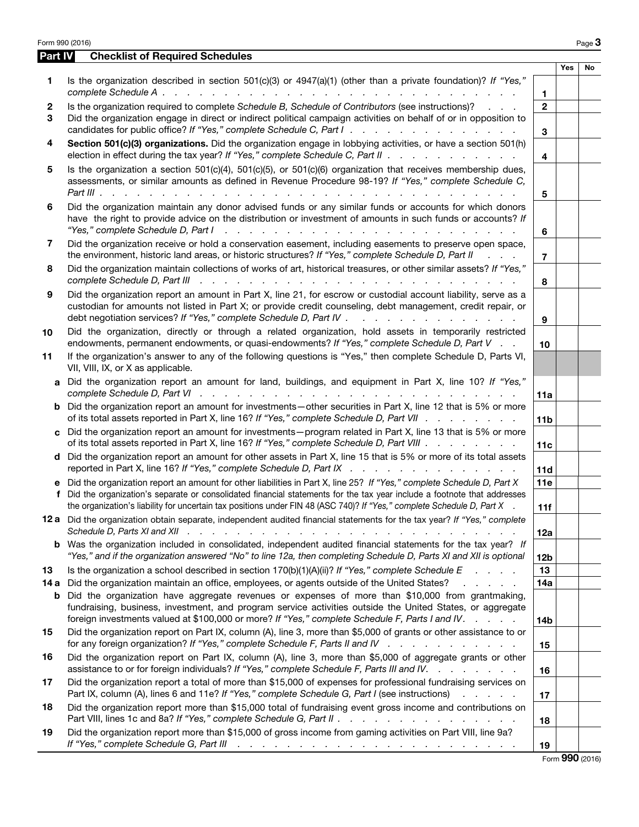|           | <b>Checklist of Required Schedules</b><br><b>Part IV</b>                                                                                                                                                                                                                                                                                                                                                                                             |                        |            |    |
|-----------|------------------------------------------------------------------------------------------------------------------------------------------------------------------------------------------------------------------------------------------------------------------------------------------------------------------------------------------------------------------------------------------------------------------------------------------------------|------------------------|------------|----|
|           |                                                                                                                                                                                                                                                                                                                                                                                                                                                      |                        | <b>Yes</b> | No |
| 1.        | Is the organization described in section 501(c)(3) or 4947(a)(1) (other than a private foundation)? If "Yes,"                                                                                                                                                                                                                                                                                                                                        | 1.                     |            |    |
| 2<br>3    | Is the organization required to complete Schedule B, Schedule of Contributors (see instructions)?<br>Did the organization engage in direct or indirect political campaign activities on behalf of or in opposition to<br>candidates for public office? If "Yes," complete Schedule C, Part I.                                                                                                                                                        | $\overline{2}$<br>3    |            |    |
| 4         | Section 501(c)(3) organizations. Did the organization engage in lobbying activities, or have a section 501(h)<br>election in effect during the tax year? If "Yes," complete Schedule C, Part II                                                                                                                                                                                                                                                      | 4                      |            |    |
| 5         | Is the organization a section $501(c)(4)$ , $501(c)(5)$ , or $501(c)(6)$ organization that receives membership dues,<br>assessments, or similar amounts as defined in Revenue Procedure 98-19? If "Yes," complete Schedule C,                                                                                                                                                                                                                        | 5                      |            |    |
| 6         | Did the organization maintain any donor advised funds or any similar funds or accounts for which donors<br>have the right to provide advice on the distribution or investment of amounts in such funds or accounts? If                                                                                                                                                                                                                               | 6                      |            |    |
| 7         | Did the organization receive or hold a conservation easement, including easements to preserve open space,<br>the environment, historic land areas, or historic structures? If "Yes," complete Schedule D, Part II                                                                                                                                                                                                                                    | 7                      |            |    |
| 8         | Did the organization maintain collections of works of art, historical treasures, or other similar assets? If "Yes,"<br>complete Schedule D, Part III recently recently recently recently recently recently recently recently recently recently recently recently recently recently recently recently recently recently recently recently recently rec                                                                                                | 8                      |            |    |
| 9         | Did the organization report an amount in Part X, line 21, for escrow or custodial account liability, serve as a<br>custodian for amounts not listed in Part X; or provide credit counseling, debt management, credit repair, or<br>debt negotiation services? If "Yes," complete Schedule D, Part IV                                                                                                                                                 | 9                      |            |    |
| 10        | Did the organization, directly or through a related organization, hold assets in temporarily restricted<br>endowments, permanent endowments, or quasi-endowments? If "Yes," complete Schedule D, Part V                                                                                                                                                                                                                                              | 10                     |            |    |
| 11        | If the organization's answer to any of the following questions is "Yes," then complete Schedule D, Parts VI,<br>VII, VIII, IX, or X as applicable.                                                                                                                                                                                                                                                                                                   |                        |            |    |
| a         | Did the organization report an amount for land, buildings, and equipment in Part X, line 10? If "Yes,"                                                                                                                                                                                                                                                                                                                                               | 11a                    |            |    |
| b         | Did the organization report an amount for investments—other securities in Part X, line 12 that is 5% or more<br>of its total assets reported in Part X, line 16? If "Yes," complete Schedule D, Part VII                                                                                                                                                                                                                                             | 11 <sub>b</sub>        |            |    |
|           | c Did the organization report an amount for investments - program related in Part X, line 13 that is 5% or more<br>of its total assets reported in Part X, line 16? If "Yes," complete Schedule D, Part VIII                                                                                                                                                                                                                                         | 11c                    |            |    |
|           | d Did the organization report an amount for other assets in Part X, line 15 that is 5% or more of its total assets<br>reported in Part X, line 16? If "Yes," complete Schedule D, Part IX                                                                                                                                                                                                                                                            | 11d                    |            |    |
| f         | e Did the organization report an amount for other liabilities in Part X, line 25? If "Yes," complete Schedule D, Part X<br>Did the organization's separate or consolidated financial statements for the tax year include a footnote that addresses<br>the organization's liability for uncertain tax positions under FIN 48 (ASC 740)? If "Yes," complete Schedule D, Part X                                                                         | 11e                    |            |    |
|           | 12 a Did the organization obtain separate, independent audited financial statements for the tax year? If "Yes," complete                                                                                                                                                                                                                                                                                                                             | 11f<br>12a             |            |    |
| b         | Was the organization included in consolidated, independent audited financial statements for the tax year? If<br>"Yes," and if the organization answered "No" to line 12a, then completing Schedule D, Parts XI and XII is optional                                                                                                                                                                                                                   | 12 <sub>b</sub>        |            |    |
| 13        | Is the organization a school described in section $170(b)(1)(A)(ii)?$ If "Yes," complete Schedule E                                                                                                                                                                                                                                                                                                                                                  | 13                     |            |    |
| 14 a<br>b | Did the organization maintain an office, employees, or agents outside of the United States?<br><b>Contract Contract Contract</b><br>Did the organization have aggregate revenues or expenses of more than \$10,000 from grantmaking,<br>fundraising, business, investment, and program service activities outside the United States, or aggregate<br>foreign investments valued at \$100,000 or more? If "Yes," complete Schedule F, Parts I and IV. | 14a<br>14 <sub>b</sub> |            |    |
| 15        | Did the organization report on Part IX, column (A), line 3, more than \$5,000 of grants or other assistance to or<br>for any foreign organization? If "Yes," complete Schedule F, Parts II and IV $\ldots$ , $\ldots$ , $\ldots$                                                                                                                                                                                                                     | 15                     |            |    |
| 16        | Did the organization report on Part IX, column (A), line 3, more than \$5,000 of aggregate grants or other<br>assistance to or for foreign individuals? If "Yes," complete Schedule F, Parts III and IV.                                                                                                                                                                                                                                             | 16                     |            |    |
| 17        | Did the organization report a total of more than \$15,000 of expenses for professional fundraising services on<br>Part IX, column (A), lines 6 and 11e? If "Yes," complete Schedule G, Part I (see instructions)                                                                                                                                                                                                                                     | 17                     |            |    |
| 18        | Did the organization report more than \$15,000 total of fundraising event gross income and contributions on<br>Part VIII, lines 1c and 8a? If "Yes," complete Schedule G, Part II                                                                                                                                                                                                                                                                    | 18                     |            |    |
|           |                                                                                                                                                                                                                                                                                                                                                                                                                                                      |                        |            |    |

Form 990 (2016)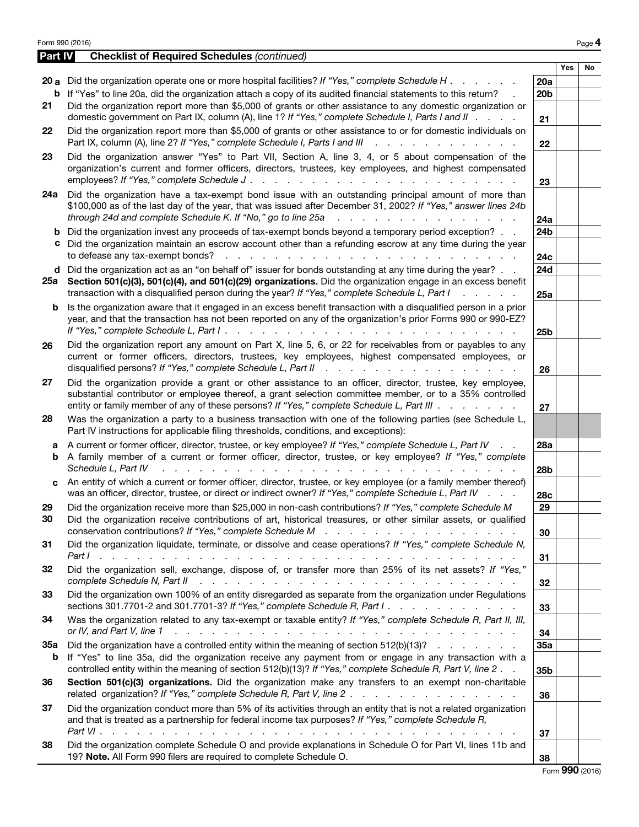|                | Form 990 (2016)                                                                                                                                                                                                                                                                                                                                                              |                        |     | Page 4          |
|----------------|------------------------------------------------------------------------------------------------------------------------------------------------------------------------------------------------------------------------------------------------------------------------------------------------------------------------------------------------------------------------------|------------------------|-----|-----------------|
| <b>Part IV</b> | <b>Checklist of Required Schedules (continued)</b>                                                                                                                                                                                                                                                                                                                           |                        |     |                 |
|                | 20 a Did the organization operate one or more hospital facilities? If "Yes," complete Schedule H                                                                                                                                                                                                                                                                             | 20a                    | Yes | No              |
|                | <b>b</b> If "Yes" to line 20a, did the organization attach a copy of its audited financial statements to this return?                                                                                                                                                                                                                                                        | 20 <sub>b</sub>        |     |                 |
| 21             | Did the organization report more than \$5,000 of grants or other assistance to any domestic organization or                                                                                                                                                                                                                                                                  |                        |     |                 |
|                | domestic government on Part IX, column (A), line 1? If "Yes," complete Schedule I, Parts I and II                                                                                                                                                                                                                                                                            | 21                     |     |                 |
| 22             | Did the organization report more than \$5,000 of grants or other assistance to or for domestic individuals on<br>Part IX, column (A), line 2? If "Yes," complete Schedule I, Parts I and III                                                                                                                                                                                 | 22                     |     |                 |
| 23             | Did the organization answer "Yes" to Part VII, Section A, line 3, 4, or 5 about compensation of the<br>organization's current and former officers, directors, trustees, key employees, and highest compensated<br>employees? If "Yes," complete Schedule J.                                                                                                                  | 23                     |     |                 |
| 24а            | Did the organization have a tax-exempt bond issue with an outstanding principal amount of more than<br>\$100,000 as of the last day of the year, that was issued after December 31, 2002? If "Yes," answer lines 24b<br>through 24d and complete Schedule K. If "No," go to line 25a                                                                                         | 24a                    |     |                 |
|                | <b>b</b> Did the organization invest any proceeds of tax-exempt bonds beyond a temporary period exception?                                                                                                                                                                                                                                                                   | 24b                    |     |                 |
|                | c Did the organization maintain an escrow account other than a refunding escrow at any time during the year<br>to defease any tax-exempt bonds?<br>and the contract of the contract of the contract of the contract of the contract of                                                                                                                                       | 24c                    |     |                 |
|                | d Did the organization act as an "on behalf of" issuer for bonds outstanding at any time during the year?                                                                                                                                                                                                                                                                    | 24d                    |     |                 |
|                | 25a Section 501(c)(3), 501(c)(4), and 501(c)(29) organizations. Did the organization engage in an excess benefit<br>transaction with a disqualified person during the year? If "Yes," complete Schedule L, Part I<br>$1 - 1 - 1 - 1 = 1$                                                                                                                                     | 25a                    |     |                 |
| b              | Is the organization aware that it engaged in an excess benefit transaction with a disqualified person in a prior<br>year, and that the transaction has not been reported on any of the organization's prior Forms 990 or 990-EZ?                                                                                                                                             | 25 <sub>b</sub>        |     |                 |
| 26             | Did the organization report any amount on Part X, line 5, 6, or 22 for receivables from or payables to any<br>current or former officers, directors, trustees, key employees, highest compensated employees, or                                                                                                                                                              | 26                     |     |                 |
| 27             | Did the organization provide a grant or other assistance to an officer, director, trustee, key employee,<br>substantial contributor or employee thereof, a grant selection committee member, or to a 35% controlled<br>entity or family member of any of these persons? If "Yes," complete Schedule L, Part III                                                              | 27                     |     |                 |
| 28             | Was the organization a party to a business transaction with one of the following parties (see Schedule L,<br>Part IV instructions for applicable filing thresholds, conditions, and exceptions):                                                                                                                                                                             |                        |     |                 |
| a              | A current or former officer, director, trustee, or key employee? If "Yes," complete Schedule L, Part IV<br><b>b</b> A family member of a current or former officer, director, trustee, or key employee? If "Yes," complete<br>Schedule L, Part IV<br>والمتعاون والمتعاون والمتعاون والمتعاون والمتعاون والمتعاون والمتعاون والمتعاونة والمتعاونة                             | 28a<br>28 <sub>b</sub> |     |                 |
|                | c An entity of which a current or former officer, director, trustee, or key employee (or a family member thereof)<br>was an officer, director, trustee, or direct or indirect owner? If "Yes," complete Schedule L, Part IV                                                                                                                                                  | 28c                    |     |                 |
| 29<br>30       | Did the organization receive more than \$25,000 in non-cash contributions? If "Yes," complete Schedule M<br>Did the organization receive contributions of art, historical treasures, or other similar assets, or qualified                                                                                                                                                   | 29<br>30               |     |                 |
| 31             | Did the organization liquidate, terminate, or dissolve and cease operations? If "Yes," complete Schedule N,                                                                                                                                                                                                                                                                  | 31                     |     |                 |
| 32             | Did the organization sell, exchange, dispose of, or transfer more than 25% of its net assets? If "Yes,"<br>complete Schedule N, Part II<br>and the contract of the contract of the contract of the contract of the contract of the contract of the contract of the contract of the contract of the contract of the contract of the contract of the contract of the contra    | 32                     |     |                 |
| 33             | Did the organization own 100% of an entity disregarded as separate from the organization under Regulations<br>sections 301.7701-2 and 301.7701-3? If "Yes," complete Schedule R, Part I.                                                                                                                                                                                     | 33                     |     |                 |
| 34             | Was the organization related to any tax-exempt or taxable entity? If "Yes," complete Schedule R, Part II, III,<br>or IV, and Part V, line 1<br>a constitution of the constitution of the constitution of the constitution of the constitution of the constitution of the constitution of the constitution of the constitution of the constitution of the constitution of the | 34                     |     |                 |
| 35а<br>b       | Did the organization have a controlled entity within the meaning of section $512(b)(13)?$<br>If "Yes" to line 35a, did the organization receive any payment from or engage in any transaction with a<br>controlled entity within the meaning of section 512(b)(13)? If "Yes," complete Schedule R, Part V, line 2.                                                           | 35a<br>35b             |     |                 |
| 36             | Section 501(c)(3) organizations. Did the organization make any transfers to an exempt non-charitable<br>related organization? If "Yes," complete Schedule R, Part V, line 2.                                                                                                                                                                                                 | 36                     |     |                 |
| 37             | Did the organization conduct more than 5% of its activities through an entity that is not a related organization<br>and that is treated as a partnership for federal income tax purposes? If "Yes," complete Schedule R,                                                                                                                                                     | 37                     |     |                 |
| 38             | Did the organization complete Schedule O and provide explanations in Schedule O for Part VI, lines 11b and<br>19? Note. All Form 990 filers are required to complete Schedule O.                                                                                                                                                                                             | 38                     |     |                 |
|                |                                                                                                                                                                                                                                                                                                                                                                              |                        |     | Form 990 (2016) |

|  |  | Form 990 (2016) |
|--|--|-----------------|
|--|--|-----------------|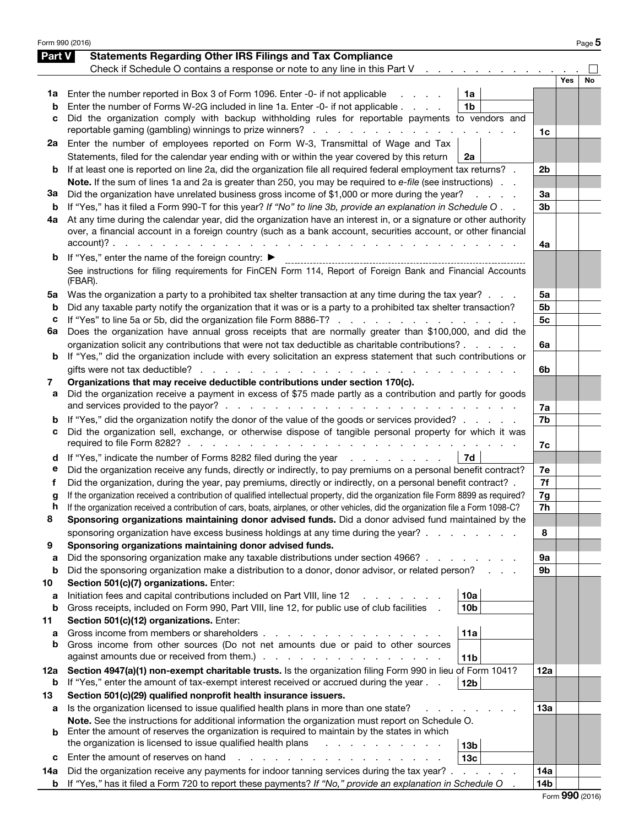|        | Form 990 (2016)                                                                                                                    |                |     | Page 5 |
|--------|------------------------------------------------------------------------------------------------------------------------------------|----------------|-----|--------|
| Part V | <b>Statements Regarding Other IRS Filings and Tax Compliance</b>                                                                   |                |     |        |
|        | Check if Schedule O contains a response or note to any line in this Part V                                                         |                |     |        |
|        |                                                                                                                                    |                | Yes | No     |
| 1a     | Enter the number reported in Box 3 of Form 1096. Enter -0- if not applicable<br>1a                                                 |                |     |        |
| b      | Enter the number of Forms W-2G included in line 1a. Enter -0- if not applicable<br>1 <sub>b</sub>                                  |                |     |        |
| с      | Did the organization comply with backup withholding rules for reportable payments to vendors and                                   |                |     |        |
|        | reportable gaming (gambling) winnings to prize winners?                                                                            | 1c             |     |        |
| 2a     | Enter the number of employees reported on Form W-3, Transmittal of Wage and Tax                                                    |                |     |        |
|        | Statements, filed for the calendar year ending with or within the year covered by this return<br>2a                                |                |     |        |
| b      | If at least one is reported on line 2a, did the organization file all required federal employment tax returns? .                   | 2b             |     |        |
|        | Note. If the sum of lines 1a and 2a is greater than 250, you may be required to e-file (see instructions).                         |                |     |        |
| За     | Did the organization have unrelated business gross income of \$1,000 or more during the year?<br>and a strategic                   | 3a             |     |        |
| b      | If "Yes," has it filed a Form 990-T for this year? If "No" to line 3b, provide an explanation in Schedule O                        | 3 <sub>b</sub> |     |        |
| 4a     | At any time during the calendar year, did the organization have an interest in, or a signature or other authority                  |                |     |        |
|        | over, a financial account in a foreign country (such as a bank account, securities account, or other financial                     |                |     |        |
|        | $account)?$ .<br>and the control of<br>and a strain and a strain of                                                                | 4a             |     |        |
| b      | If "Yes," enter the name of the foreign country: ▶                                                                                 |                |     |        |
|        | See instructions for filing requirements for FinCEN Form 114, Report of Foreign Bank and Financial Accounts                        |                |     |        |
|        | (FBAR).                                                                                                                            |                |     |        |
| 5a     | Was the organization a party to a prohibited tax shelter transaction at any time during the tax year?                              | 5a             |     |        |
| b      | Did any taxable party notify the organization that it was or is a party to a prohibited tax shelter transaction?                   | 5b             |     |        |
| с      | If "Yes" to line 5a or 5b, did the organization file Form 8886-T?                                                                  | 5 <sub>c</sub> |     |        |
| 6a     | Does the organization have annual gross receipts that are normally greater than \$100,000, and did the                             |                |     |        |
|        | organization solicit any contributions that were not tax deductible as charitable contributions?                                   | 6a             |     |        |
| b      | If "Yes," did the organization include with every solicitation an express statement that such contributions or                     |                |     |        |
|        | gifts were not tax deductible?                                                                                                     | 6b             |     |        |
| 7      | Organizations that may receive deductible contributions under section 170(c).                                                      |                |     |        |
| а      | Did the organization receive a payment in excess of \$75 made partly as a contribution and partly for goods                        |                |     |        |
|        | and services provided to the payor?.<br>the contract of the contract of the contract of the con-                                   | 7a             |     |        |
| b      | If "Yes," did the organization notify the donor of the value of the goods or services provided?                                    | 7b             |     |        |
| с      | Did the organization sell, exchange, or otherwise dispose of tangible personal property for which it was                           |                |     |        |
|        | required to file Form 8282?.<br>and the contract of the con-<br>and the contract of the con-                                       | 7c             |     |        |
| d      | If "Yes," indicate the number of Forms 8282 filed during the year<br>7d                                                            |                |     |        |
| е      | Did the organization receive any funds, directly or indirectly, to pay premiums on a personal benefit contract?                    | 7e             |     |        |
| f      | Did the organization, during the year, pay premiums, directly or indirectly, on a personal benefit contract? .                     | 7f             |     |        |
| g      | If the organization received a contribution of qualified intellectual property, did the organization file Form 8899 as required?   | 7g             |     |        |
| n      | If the organization received a contribution of cars, boats, airplanes, or other vehicles, did the organization file a Form 1098-C? | 7h             |     |        |
| 8      | Sponsoring organizations maintaining donor advised funds. Did a donor advised fund maintained by the                               |                |     |        |
|        | sponsoring organization have excess business holdings at any time during the year?.                                                | 8              |     |        |
| 9      | Sponsoring organizations maintaining donor advised funds.                                                                          |                |     |        |
| a      | Did the sponsoring organization make any taxable distributions under section 4966?                                                 | 9а             |     |        |
| b      | Did the sponsoring organization make a distribution to a donor, donor advisor, or related person?                                  | 9b             |     |        |
| 10     | Section 501(c)(7) organizations. Enter:                                                                                            |                |     |        |
| a      | Initiation fees and capital contributions included on Part VIII, line 12<br>10a                                                    |                |     |        |
| b      | Gross receipts, included on Form 990, Part VIII, line 12, for public use of club facilities<br>10 <sub>b</sub>                     |                |     |        |
| 11     | Section 501(c)(12) organizations. Enter:                                                                                           |                |     |        |
| a      | Gross income from members or shareholders.<br>11a<br>and the control                                                               |                |     |        |
| b      | Gross income from other sources (Do not net amounts due or paid to other sources                                                   |                |     |        |
|        | against amounts due or received from them.).<br>the contract of the contract of<br>11 <sub>b</sub>                                 |                |     |        |
| 12a    | Section 4947(a)(1) non-exempt charitable trusts. Is the organization filing Form 990 in lieu of Form 1041?                         | 12a            |     |        |
| b      | If "Yes," enter the amount of tax-exempt interest received or accrued during the year<br>12 <sub>b</sub>                           |                |     |        |
| 13     | Section 501(c)(29) qualified nonprofit health insurance issuers.                                                                   |                |     |        |
| а      | Is the organization licensed to issue qualified health plans in more than one state?                                               | 13а            |     |        |
|        | Note. See the instructions for additional information the organization must report on Schedule O.                                  |                |     |        |
| b      | Enter the amount of reserves the organization is required to maintain by the states in which                                       |                |     |        |
|        | the organization is licensed to issue qualified health plans<br>13 <sub>b</sub>                                                    |                |     |        |
| с      | Enter the amount of reserves on hand<br>13 <sub>c</sub>                                                                            |                |     |        |
| 14a    | Did the organization receive any payments for indoor tanning services during the tax year?.<br><b>Service Control</b>              | 14a            |     |        |
| b      | If "Yes," has it filed a Form 720 to report these payments? If "No," provide an explanation in Schedule O                          | 14b            |     |        |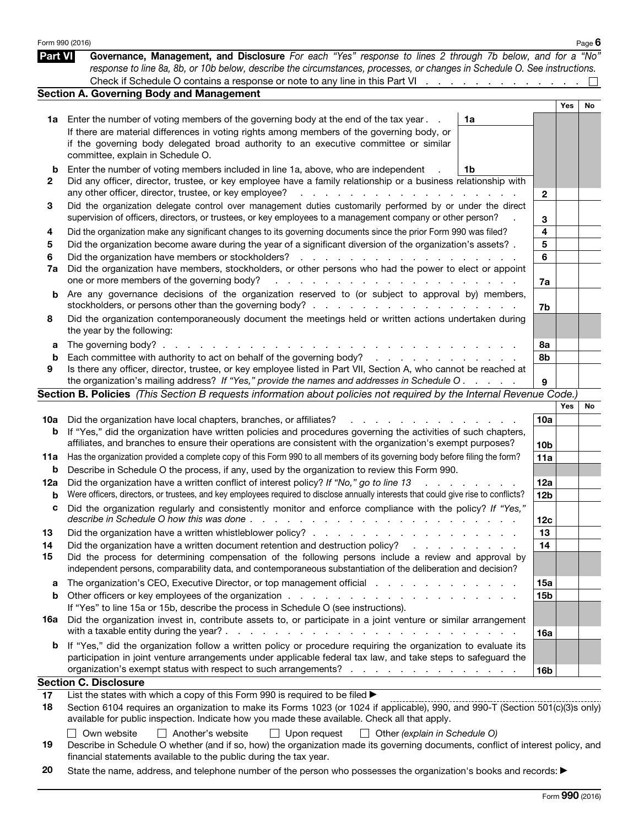|                | Form 990 (2016)                                                                                                                                                                                                                                                             |                                                                                                                 |                 |     | Page $6$ |
|----------------|-----------------------------------------------------------------------------------------------------------------------------------------------------------------------------------------------------------------------------------------------------------------------------|-----------------------------------------------------------------------------------------------------------------|-----------------|-----|----------|
| <b>Part VI</b> | Governance, Management, and Disclosure For each "Yes" response to lines 2 through 7b below, and for a "No"<br>response to line 8a, 8b, or 10b below, describe the circumstances, processes, or changes in Schedule O. See instructions.                                     |                                                                                                                 |                 |     |          |
|                | Check if Schedule O contains a response or note to any line in this Part VI                                                                                                                                                                                                 |                                                                                                                 |                 |     |          |
|                | <b>Section A. Governing Body and Management</b>                                                                                                                                                                                                                             |                                                                                                                 |                 |     |          |
|                |                                                                                                                                                                                                                                                                             |                                                                                                                 |                 | Yes | No       |
|                | 1a Enter the number of voting members of the governing body at the end of the tax year.                                                                                                                                                                                     | 1a                                                                                                              |                 |     |          |
|                | If there are material differences in voting rights among members of the governing body, or<br>if the governing body delegated broad authority to an executive committee or similar                                                                                          |                                                                                                                 |                 |     |          |
|                | committee, explain in Schedule O.                                                                                                                                                                                                                                           |                                                                                                                 |                 |     |          |
| b              | Enter the number of voting members included in line 1a, above, who are independent                                                                                                                                                                                          | 1b                                                                                                              |                 |     |          |
| 2              | Did any officer, director, trustee, or key employee have a family relationship or a business relationship with                                                                                                                                                              |                                                                                                                 |                 |     |          |
|                | any other officer, director, trustee, or key employee?<br>de la caractería de la caractería de la caractería                                                                                                                                                                |                                                                                                                 | $\mathbf{2}$    |     |          |
| 3              | Did the organization delegate control over management duties customarily performed by or under the direct<br>supervision of officers, directors, or trustees, or key employees to a management company or other person?                                                     |                                                                                                                 | 3               |     |          |
| 4              | Did the organization make any significant changes to its governing documents since the prior Form 990 was filed?                                                                                                                                                            |                                                                                                                 | 4               |     |          |
| 5              | Did the organization become aware during the year of a significant diversion of the organization's assets?.                                                                                                                                                                 |                                                                                                                 | 5               |     |          |
| 6              |                                                                                                                                                                                                                                                                             |                                                                                                                 | 6               |     |          |
| 7a             | Did the organization have members, stockholders, or other persons who had the power to elect or appoint                                                                                                                                                                     |                                                                                                                 |                 |     |          |
|                | one or more members of the governing body?                                                                                                                                                                                                                                  |                                                                                                                 | 7a              |     |          |
| b              | Are any governance decisions of the organization reserved to (or subject to approval by) members,                                                                                                                                                                           |                                                                                                                 |                 |     |          |
|                |                                                                                                                                                                                                                                                                             |                                                                                                                 | 7b              |     |          |
| 8              | Did the organization contemporaneously document the meetings held or written actions undertaken during<br>the year by the following:                                                                                                                                        |                                                                                                                 |                 |     |          |
| а              | The governing body? $\ldots$ $\ldots$ $\ldots$ $\ldots$ $\ldots$ $\ldots$                                                                                                                                                                                                   |                                                                                                                 | 8а              |     |          |
| b              |                                                                                                                                                                                                                                                                             |                                                                                                                 | 8b              |     |          |
| 9              | Is there any officer, director, trustee, or key employee listed in Part VII, Section A, who cannot be reached at                                                                                                                                                            |                                                                                                                 |                 |     |          |
|                | the organization's mailing address? If "Yes," provide the names and addresses in Schedule O.                                                                                                                                                                                |                                                                                                                 | 9               |     |          |
|                | Section B. Policies (This Section B requests information about policies not required by the Internal Revenue Code.)                                                                                                                                                         |                                                                                                                 |                 |     |          |
|                |                                                                                                                                                                                                                                                                             |                                                                                                                 |                 | Yes | No       |
| 10a            | Did the organization have local chapters, branches, or affiliates?<br>and a strong and a                                                                                                                                                                                    |                                                                                                                 | 10a             |     |          |
| b              | If "Yes," did the organization have written policies and procedures governing the activities of such chapters,<br>affiliates, and branches to ensure their operations are consistent with the organization's exempt purposes?                                               |                                                                                                                 | 10 <sub>b</sub> |     |          |
| 11a            | Has the organization provided a complete copy of this Form 990 to all members of its governing body before filing the form?                                                                                                                                                 |                                                                                                                 | 11a             |     |          |
| b              | Describe in Schedule O the process, if any, used by the organization to review this Form 990.                                                                                                                                                                               |                                                                                                                 |                 |     |          |
| 12a            | Did the organization have a written conflict of interest policy? If "No," go to line 13<br>$\mathbf{r}$ and $\mathbf{r}$                                                                                                                                                    |                                                                                                                 | 12a             |     |          |
| b              | Were officers, directors, or trustees, and key employees required to disclose annually interests that could give rise to conflicts?                                                                                                                                         |                                                                                                                 | 12 <sub>b</sub> |     |          |
|                | Did the organization regularly and consistently monitor and enforce compliance with the policy? If "Yes,                                                                                                                                                                    |                                                                                                                 |                 |     |          |
|                | describe in Schedule O how this was done.<br>and the company of the company of the company of the company of the company of the company of the company of the company of the company of the company of the company of the company of the company of the company of the comp |                                                                                                                 | 12c             |     |          |
| 13             |                                                                                                                                                                                                                                                                             |                                                                                                                 | 13              |     |          |
| 14             | Did the organization have a written document retention and destruction policy?                                                                                                                                                                                              | and the state of the state of the state of the state of the state of the state of the state of the state of the | 14              |     |          |
| 15             | Did the process for determining compensation of the following persons include a review and approval by<br>independent persons, comparability data, and contemporaneous substantiation of the deliberation and decision?                                                     |                                                                                                                 |                 |     |          |
| а              | The organization's CEO, Executive Director, or top management official enterstance of the organization's CEO, Executive Director, or top management official                                                                                                                |                                                                                                                 | 15a             |     |          |
| b              |                                                                                                                                                                                                                                                                             |                                                                                                                 | <b>15b</b>      |     |          |
|                | If "Yes" to line 15a or 15b, describe the process in Schedule O (see instructions).                                                                                                                                                                                         |                                                                                                                 |                 |     |          |
| 16a            | Did the organization invest in, contribute assets to, or participate in a joint venture or similar arrangement                                                                                                                                                              |                                                                                                                 |                 |     |          |
|                |                                                                                                                                                                                                                                                                             |                                                                                                                 | 16a             |     |          |
|                |                                                                                                                                                                                                                                                                             | <b>Contract Contract</b>                                                                                        |                 |     |          |
| b              |                                                                                                                                                                                                                                                                             |                                                                                                                 |                 |     |          |
|                | If "Yes," did the organization follow a written policy or procedure requiring the organization to evaluate its                                                                                                                                                              |                                                                                                                 |                 |     |          |
|                | participation in joint venture arrangements under applicable federal tax law, and take steps to safeguard the<br>organization's exempt status with respect to such arrangements?                                                                                            |                                                                                                                 |                 |     |          |
|                |                                                                                                                                                                                                                                                                             |                                                                                                                 | 16 <sub>b</sub> |     |          |
| 17             | <b>Section C. Disclosure</b>                                                                                                                                                                                                                                                |                                                                                                                 |                 |     |          |
| 18             | List the states with which a copy of this Form 990 is required to be filed ><br>Section 6104 requires an organization to make its Forms 1023 (or 1024 if applicable), 990, and 990-T (Section 501(c)(3)s only)                                                              |                                                                                                                 |                 |     |          |
|                | available for public inspection. Indicate how you made these available. Check all that apply.                                                                                                                                                                               |                                                                                                                 |                 |     |          |

| $\blacksquare$ $\blacksquare$ $\blacksquare$ $\blacksquare$ $\blacksquare$ $\blacksquare$ $\blacksquare$ $\blacksquare$ $\blacksquare$ $\blacksquare$ $\blacksquare$ $\blacksquare$ $\blacksquare$ $\blacksquare$ $\blacksquare$ $\blacksquare$ $\blacksquare$ $\blacksquare$ $\blacksquare$ $\blacksquare$ $\blacksquare$ $\blacksquare$ $\blacksquare$ $\blacksquare$ $\blacksquare$ $\blacksquare$ $\blacksquare$ $\blacksquare$ $\blacksquare$ $\blacksquare$ $\blacksquare$ $\blacks$<br>$\Box$ open request $\Box$ other [explain in concurse) |
|------------------------------------------------------------------------------------------------------------------------------------------------------------------------------------------------------------------------------------------------------------------------------------------------------------------------------------------------------------------------------------------------------------------------------------------------------------------------------------------------------------------------------------------------------|
| Describe in Schedule O whether (and if so, how) the organization made its governing documents, conflict of interest policy, and                                                                                                                                                                                                                                                                                                                                                                                                                      |
| financial statements available to the public during the tax year.                                                                                                                                                                                                                                                                                                                                                                                                                                                                                    |

20 State the name, address, and telephone number of the person who possesses the organization's books and records: ▶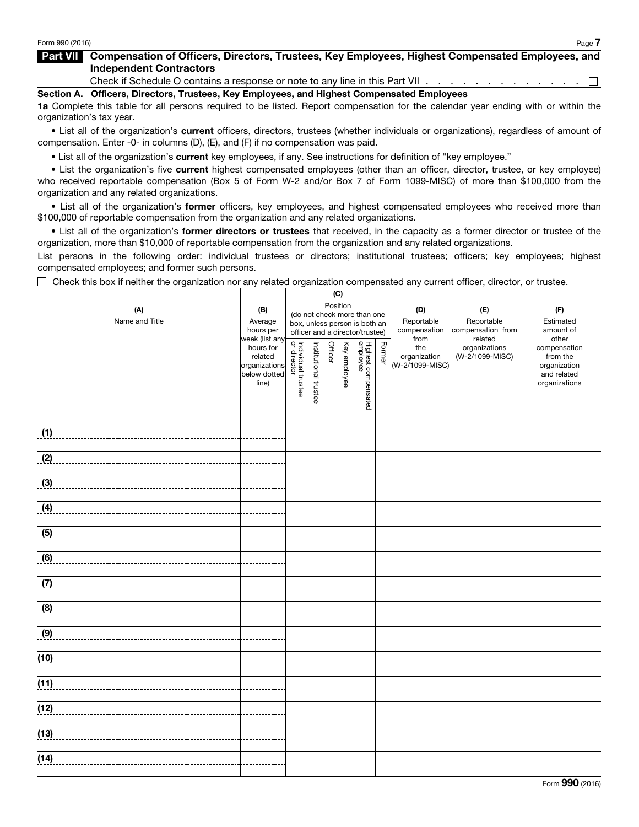## Part VII Compensation of Officers, Directors, Trustees, Key Employees, Highest Compensated Employees, and Independent Contractors

Check if Schedule O contains a response or note to any line in this Part VII . . . . . . . . . . . . . .  $\Box$ 

Section A. Officers, Directors, Trustees, Key Employees, and Highest Compensated Employees

1a Complete this table for all persons required to be listed. Report compensation for the calendar year ending with or within the organization's tax year.

• List all of the organization's current officers, directors, trustees (whether individuals or organizations), regardless of amount of compensation. Enter -0- in columns (D), (E), and (F) if no compensation was paid.

• List all of the organization's current key employees, if any. See instructions for definition of "key employee."

• List the organization's five current highest compensated employees (other than an officer, director, trustee, or key employee) who received reportable compensation (Box 5 of Form W-2 and/or Box 7 of Form 1099-MISC) of more than \$100,000 from the organization and any related organizations.

• List all of the organization's former officers, key employees, and highest compensated employees who received more than \$100,000 of reportable compensation from the organization and any related organizations.

• List all of the organization's former directors or trustees that received, in the capacity as a former director or trustee of the organization, more than \$10,000 of reportable compensation from the organization and any related organizations.

List persons in the following order: individual trustees or directors; institutional trustees; officers; key employees; highest compensated employees; and former such persons.

 $\Box$  Check this box if neither the organization nor any related organization compensated any current officer, director, or trustee.

|                |                               | (C)                               |                                         |         |              |                                 |        |                 |                          |                             |
|----------------|-------------------------------|-----------------------------------|-----------------------------------------|---------|--------------|---------------------------------|--------|-----------------|--------------------------|-----------------------------|
| (A)            | (B)                           |                                   | Position<br>(do not check more than one |         |              |                                 | (D)    | (E)             | (F)                      |                             |
| Name and Title | Average                       |                                   |                                         |         |              | box, unless person is both an   |        | Reportable      | Reportable               | Estimated                   |
|                | hours per                     | officer and a director/trustee)   |                                         |         |              |                                 |        | compensation    | compensation from        | amount of                   |
|                | week (list any<br>hours for   |                                   |                                         |         |              |                                 |        | from<br>the     | related<br>organizations | other<br>compensation       |
|                | related                       |                                   |                                         | Officer |              |                                 | Former | organization    | (W-2/1099-MISC)          | from the                    |
|                | organizations<br>below dotted |                                   |                                         |         | Key employee |                                 |        | (W-2/1099-MISC) |                          | organization<br>and related |
|                | line)                         | Individual trustee<br>or director |                                         |         |              |                                 |        |                 |                          | organizations               |
|                |                               |                                   | Institutional trustee                   |         |              | Highest compensated<br>employee |        |                 |                          |                             |
|                |                               |                                   |                                         |         |              |                                 |        |                 |                          |                             |
|                |                               |                                   |                                         |         |              |                                 |        |                 |                          |                             |
| (1)            |                               |                                   |                                         |         |              |                                 |        |                 |                          |                             |
|                |                               |                                   |                                         |         |              |                                 |        |                 |                          |                             |
| (2)            |                               |                                   |                                         |         |              |                                 |        |                 |                          |                             |
|                |                               |                                   |                                         |         |              |                                 |        |                 |                          |                             |
| (3)            |                               |                                   |                                         |         |              |                                 |        |                 |                          |                             |
| (4)            |                               |                                   |                                         |         |              |                                 |        |                 |                          |                             |
|                |                               |                                   |                                         |         |              |                                 |        |                 |                          |                             |
| (5)            |                               |                                   |                                         |         |              |                                 |        |                 |                          |                             |
|                |                               |                                   |                                         |         |              |                                 |        |                 |                          |                             |
| (6)            |                               |                                   |                                         |         |              |                                 |        |                 |                          |                             |
|                |                               |                                   |                                         |         |              |                                 |        |                 |                          |                             |
| (7)            |                               |                                   |                                         |         |              |                                 |        |                 |                          |                             |
|                |                               |                                   |                                         |         |              |                                 |        |                 |                          |                             |
| (8)            |                               |                                   |                                         |         |              |                                 |        |                 |                          |                             |
|                |                               |                                   |                                         |         |              |                                 |        |                 |                          |                             |
| (9)            |                               |                                   |                                         |         |              |                                 |        |                 |                          |                             |
|                |                               |                                   |                                         |         |              |                                 |        |                 |                          |                             |
| (10)           |                               |                                   |                                         |         |              |                                 |        |                 |                          |                             |
|                |                               |                                   |                                         |         |              |                                 |        |                 |                          |                             |
| (11)           |                               |                                   |                                         |         |              |                                 |        |                 |                          |                             |
| (12)           |                               |                                   |                                         |         |              |                                 |        |                 |                          |                             |
|                |                               |                                   |                                         |         |              |                                 |        |                 |                          |                             |
| (13)           |                               |                                   |                                         |         |              |                                 |        |                 |                          |                             |
|                |                               |                                   |                                         |         |              |                                 |        |                 |                          |                             |
| (14)           |                               |                                   |                                         |         |              |                                 |        |                 |                          |                             |
|                |                               |                                   |                                         |         |              |                                 |        |                 |                          |                             |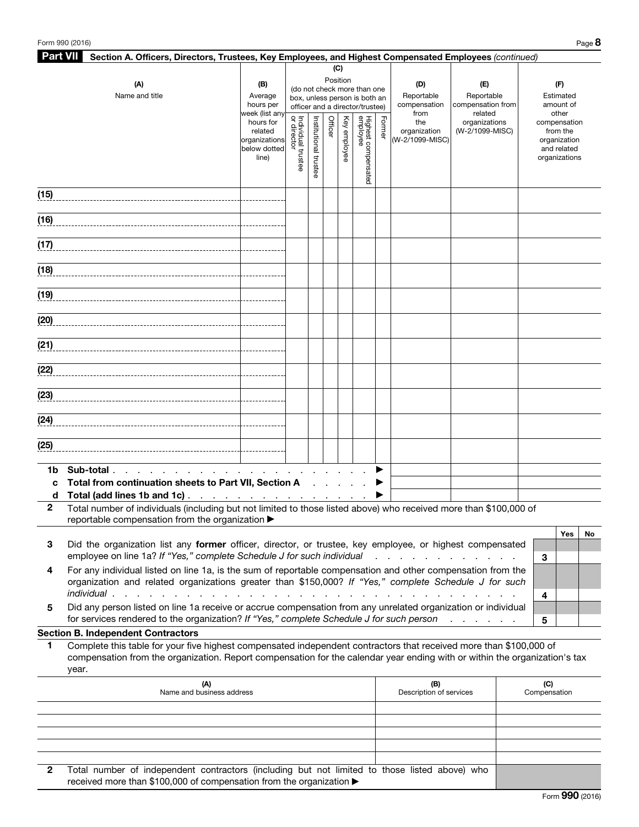| <b>Part VII</b> | Section A. Officers, Directors, Trustees, Key Employees, and Highest Compensated Employees (continued)                                                                                                                                       |                                                 |                                                                                          |                       |         |              |                                 |        |                                 |                                   |   |                          |    |
|-----------------|----------------------------------------------------------------------------------------------------------------------------------------------------------------------------------------------------------------------------------------------|-------------------------------------------------|------------------------------------------------------------------------------------------|-----------------------|---------|--------------|---------------------------------|--------|---------------------------------|-----------------------------------|---|--------------------------|----|
|                 |                                                                                                                                                                                                                                              |                                                 |                                                                                          |                       |         | (C)          |                                 |        |                                 |                                   |   |                          |    |
|                 | (A)                                                                                                                                                                                                                                          | (B)                                             |                                                                                          |                       |         | Position     |                                 |        | (D)                             | (E)                               |   | (F)                      |    |
|                 | Name and title                                                                                                                                                                                                                               | Average                                         | (do not check more than one<br>Reportable<br>Reportable<br>box, unless person is both an |                       |         |              |                                 |        |                                 |                                   |   |                          |    |
|                 |                                                                                                                                                                                                                                              | hours per<br>week (list any                     |                                                                                          |                       |         |              | officer and a director/trustee) |        | compensation<br>from            | compensation from<br>related      |   | amount of<br>other       |    |
|                 |                                                                                                                                                                                                                                              | hours for                                       |                                                                                          |                       | Officer |              |                                 | Former | the                             | organizations                     |   | compensation             |    |
|                 |                                                                                                                                                                                                                                              | related<br>organizations                        |                                                                                          |                       |         | Key employee |                                 |        | organization<br>(W-2/1099-MISC) | (W-2/1099-MISC)                   |   | from the<br>organization |    |
|                 |                                                                                                                                                                                                                                              | below dotted                                    |                                                                                          |                       |         |              |                                 |        |                                 |                                   |   | and related              |    |
|                 |                                                                                                                                                                                                                                              | line)                                           | Individual trustee<br>or director                                                        | Institutional trustee |         |              |                                 |        |                                 |                                   |   | organizations            |    |
|                 |                                                                                                                                                                                                                                              |                                                 |                                                                                          |                       |         |              | Highest compensated<br>employee |        |                                 |                                   |   |                          |    |
|                 |                                                                                                                                                                                                                                              |                                                 |                                                                                          |                       |         |              |                                 |        |                                 |                                   |   |                          |    |
| (15)            |                                                                                                                                                                                                                                              |                                                 |                                                                                          |                       |         |              |                                 |        |                                 |                                   |   |                          |    |
| (16)            |                                                                                                                                                                                                                                              |                                                 |                                                                                          |                       |         |              |                                 |        |                                 |                                   |   |                          |    |
|                 |                                                                                                                                                                                                                                              |                                                 |                                                                                          |                       |         |              |                                 |        |                                 |                                   |   |                          |    |
| (17)            |                                                                                                                                                                                                                                              |                                                 |                                                                                          |                       |         |              |                                 |        |                                 |                                   |   |                          |    |
|                 |                                                                                                                                                                                                                                              |                                                 |                                                                                          |                       |         |              |                                 |        |                                 |                                   |   |                          |    |
| (18)            |                                                                                                                                                                                                                                              |                                                 |                                                                                          |                       |         |              |                                 |        |                                 |                                   |   |                          |    |
|                 |                                                                                                                                                                                                                                              |                                                 |                                                                                          |                       |         |              |                                 |        |                                 |                                   |   |                          |    |
| (19)            |                                                                                                                                                                                                                                              |                                                 |                                                                                          |                       |         |              |                                 |        |                                 |                                   |   |                          |    |
| (20)            |                                                                                                                                                                                                                                              |                                                 |                                                                                          |                       |         |              |                                 |        |                                 |                                   |   |                          |    |
|                 |                                                                                                                                                                                                                                              |                                                 |                                                                                          |                       |         |              |                                 |        |                                 |                                   |   |                          |    |
| (21)            |                                                                                                                                                                                                                                              |                                                 |                                                                                          |                       |         |              |                                 |        |                                 |                                   |   |                          |    |
|                 |                                                                                                                                                                                                                                              |                                                 |                                                                                          |                       |         |              |                                 |        |                                 |                                   |   |                          |    |
| (22)            |                                                                                                                                                                                                                                              |                                                 |                                                                                          |                       |         |              |                                 |        |                                 |                                   |   |                          |    |
|                 |                                                                                                                                                                                                                                              |                                                 |                                                                                          |                       |         |              |                                 |        |                                 |                                   |   |                          |    |
| (23)            |                                                                                                                                                                                                                                              |                                                 |                                                                                          |                       |         |              |                                 |        |                                 |                                   |   |                          |    |
| (24)            |                                                                                                                                                                                                                                              |                                                 |                                                                                          |                       |         |              |                                 |        |                                 |                                   |   |                          |    |
|                 |                                                                                                                                                                                                                                              |                                                 |                                                                                          |                       |         |              |                                 |        |                                 |                                   |   |                          |    |
| (25)            |                                                                                                                                                                                                                                              |                                                 |                                                                                          |                       |         |              |                                 |        |                                 |                                   |   |                          |    |
|                 |                                                                                                                                                                                                                                              |                                                 |                                                                                          |                       |         |              |                                 |        |                                 |                                   |   |                          |    |
| 1b              | Sub-total.<br>the contract of the contract of the                                                                                                                                                                                            |                                                 |                                                                                          |                       |         |              |                                 |        |                                 |                                   |   |                          |    |
| C               | Total from continuation sheets to Part VII, Section A                                                                                                                                                                                        |                                                 |                                                                                          |                       |         |              |                                 |        |                                 |                                   |   |                          |    |
| d               | Total (add lines 1b and 1c).                                                                                                                                                                                                                 | the contract of the contract of the contract of |                                                                                          |                       |         |              |                                 |        |                                 |                                   |   |                          |    |
| 2               | Total number of individuals (including but not limited to those listed above) who received more than \$100,000 of<br>reportable compensation from the organization ▶                                                                         |                                                 |                                                                                          |                       |         |              |                                 |        |                                 |                                   |   |                          |    |
|                 |                                                                                                                                                                                                                                              |                                                 |                                                                                          |                       |         |              |                                 |        |                                 |                                   |   | Yes                      | No |
| 3               | Did the organization list any former officer, director, or trustee, key employee, or highest compensated                                                                                                                                     |                                                 |                                                                                          |                       |         |              |                                 |        |                                 |                                   |   |                          |    |
|                 | employee on line 1a? If "Yes," complete Schedule J for such individual                                                                                                                                                                       |                                                 |                                                                                          |                       |         |              |                                 |        |                                 | and a straight and a straight and | 3 |                          |    |
| 4               | For any individual listed on line 1a, is the sum of reportable compensation and other compensation from the                                                                                                                                  |                                                 |                                                                                          |                       |         |              |                                 |        |                                 |                                   |   |                          |    |
|                 | organization and related organizations greater than \$150,000? If "Yes," complete Schedule J for such                                                                                                                                        |                                                 |                                                                                          |                       |         |              |                                 |        |                                 |                                   |   |                          |    |
|                 | individual.<br>and a construction of the construction of the construction of the construction of the construction of the construction of the construction of the construction of the construction of the construction of the construction of |                                                 |                                                                                          |                       |         |              |                                 |        |                                 |                                   | 4 |                          |    |
| 5               | Did any person listed on line 1a receive or accrue compensation from any unrelated organization or individual                                                                                                                                |                                                 |                                                                                          |                       |         |              |                                 |        |                                 |                                   |   |                          |    |
|                 | for services rendered to the organization? If "Yes," complete Schedule J for such person                                                                                                                                                     |                                                 |                                                                                          |                       |         |              |                                 |        |                                 |                                   | 5 |                          |    |
| 1               | <b>Section B. Independent Contractors</b><br>Complete this table for your five highest compensated independent contractors that received more than \$100,000 of                                                                              |                                                 |                                                                                          |                       |         |              |                                 |        |                                 |                                   |   |                          |    |
|                 | compensation from the organization. Report compensation for the calendar year ending with or within the organization's tax                                                                                                                   |                                                 |                                                                                          |                       |         |              |                                 |        |                                 |                                   |   |                          |    |
|                 |                                                                                                                                                                                                                                              |                                                 |                                                                                          |                       |         |              |                                 |        |                                 |                                   |   |                          |    |

|                | year.                                                                                                                                                                 |                                |                     |
|----------------|-----------------------------------------------------------------------------------------------------------------------------------------------------------------------|--------------------------------|---------------------|
|                | (A)<br>Name and business address                                                                                                                                      | (B)<br>Description of services | (C)<br>Compensation |
|                |                                                                                                                                                                       |                                |                     |
|                |                                                                                                                                                                       |                                |                     |
|                |                                                                                                                                                                       |                                |                     |
|                |                                                                                                                                                                       |                                |                     |
|                |                                                                                                                                                                       |                                |                     |
| $\mathbf{2}^-$ | Total number of independent contractors (including but not limited to those listed above) who<br>received more than \$100,000 of compensation from the organization ▶ |                                |                     |

Form 990 (2016)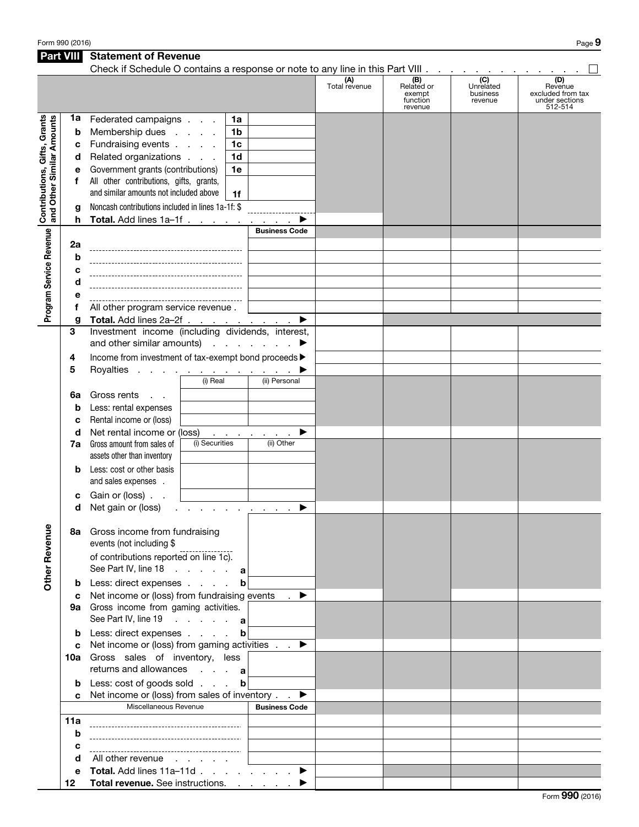Form 990 (2016) Page  $9$ 

| <b>Part VIII</b>                                          |                  | <b>Statement of Revenue</b>                                                   |                                                |                      |                                                    |                                         |                                                                  |
|-----------------------------------------------------------|------------------|-------------------------------------------------------------------------------|------------------------------------------------|----------------------|----------------------------------------------------|-----------------------------------------|------------------------------------------------------------------|
|                                                           |                  | Check if Schedule O contains a response or note to any line in this Part VIII |                                                | (A)<br>Total revenue | (B)<br>Related or<br>exempt<br>function<br>revenue | (C)<br>Unrelated<br>business<br>revenue | (D)<br>Revenue<br>excluded from tax<br>under sections<br>512-514 |
| Contributions, Gifts, Grants<br>and Other Similar Amounts | 1a<br>b          | Federated campaigns<br>Membership dues                                        | 1a<br>1 <sub>b</sub>                           |                      |                                                    |                                         |                                                                  |
|                                                           | c                | Fundraising events                                                            | 1 <sub>c</sub>                                 |                      |                                                    |                                         |                                                                  |
|                                                           | d                | Related organizations                                                         | 1 <sub>d</sub>                                 |                      |                                                    |                                         |                                                                  |
|                                                           | е                | Government grants (contributions)                                             | 1e                                             |                      |                                                    |                                         |                                                                  |
|                                                           | f                | All other contributions, gifts, grants,                                       |                                                |                      |                                                    |                                         |                                                                  |
|                                                           |                  | and similar amounts not included above                                        | 1f                                             |                      |                                                    |                                         |                                                                  |
|                                                           |                  |                                                                               |                                                |                      |                                                    |                                         |                                                                  |
|                                                           | g                | Noncash contributions included in lines 1a-1f: \$                             |                                                |                      |                                                    |                                         |                                                                  |
|                                                           | h                | Total. Add lines 1a-1f                                                        |                                                |                      |                                                    |                                         |                                                                  |
| Program Service Revenue                                   |                  |                                                                               | <b>Business Code</b>                           |                      |                                                    |                                         |                                                                  |
|                                                           | 2a               |                                                                               |                                                |                      |                                                    |                                         |                                                                  |
|                                                           | b                |                                                                               |                                                |                      |                                                    |                                         |                                                                  |
|                                                           | c                |                                                                               |                                                |                      |                                                    |                                         |                                                                  |
|                                                           | d                |                                                                               |                                                |                      |                                                    |                                         |                                                                  |
|                                                           | е                |                                                                               |                                                |                      |                                                    |                                         |                                                                  |
|                                                           | f                | All other program service revenue.                                            |                                                |                      |                                                    |                                         |                                                                  |
|                                                           | g                | Total. Add lines 2a-2f                                                        | ▶                                              |                      |                                                    |                                         |                                                                  |
|                                                           | 3                | Investment income (including dividends, interest,                             |                                                |                      |                                                    |                                         |                                                                  |
|                                                           |                  | and other similar amounts) $\cdots$ $\cdots$                                  |                                                |                      |                                                    |                                         |                                                                  |
|                                                           | 4                | Income from investment of tax-exempt bond proceeds >                          |                                                |                      |                                                    |                                         |                                                                  |
|                                                           | 5                | Royalties                                                                     |                                                |                      |                                                    |                                         |                                                                  |
|                                                           |                  | (i) Real                                                                      | (ii) Personal                                  |                      |                                                    |                                         |                                                                  |
|                                                           | 6a               | Gross rents<br>$\mathbf{r} = \mathbf{r}$                                      |                                                |                      |                                                    |                                         |                                                                  |
|                                                           | b                | Less: rental expenses                                                         |                                                |                      |                                                    |                                         |                                                                  |
|                                                           |                  | Rental income or (loss)                                                       |                                                |                      |                                                    |                                         |                                                                  |
|                                                           | c                | Net rental income or (loss)                                                   |                                                |                      |                                                    |                                         |                                                                  |
|                                                           | d                | (i) Securities                                                                | ▶<br>and the company of the com-<br>(ii) Other |                      |                                                    |                                         |                                                                  |
|                                                           | 7a               | Gross amount from sales of                                                    |                                                |                      |                                                    |                                         |                                                                  |
|                                                           |                  | assets other than inventory                                                   |                                                |                      |                                                    |                                         |                                                                  |
|                                                           | b                | Less: cost or other basis<br>and sales expenses .                             |                                                |                      |                                                    |                                         |                                                                  |
|                                                           | с                | Gain or (loss).                                                               |                                                |                      |                                                    |                                         |                                                                  |
|                                                           | d                | Net gain or (loss)                                                            | ▶                                              |                      |                                                    |                                         |                                                                  |
|                                                           |                  | 8a Gross income from fundraising                                              |                                                |                      |                                                    |                                         |                                                                  |
| <b>Other Revenue</b>                                      |                  | events (not including \$<br>of contributions reported on line 1c).            |                                                |                      |                                                    |                                         |                                                                  |
|                                                           |                  | See Part IV, line 18 a                                                        |                                                |                      |                                                    |                                         |                                                                  |
|                                                           | b                | Less: direct expenses                                                         | b                                              |                      |                                                    |                                         |                                                                  |
|                                                           | c                | Net income or (loss) from fundraising events                                  | $\rightarrow$                                  |                      |                                                    |                                         |                                                                  |
|                                                           |                  | 9a Gross income from gaming activities.                                       |                                                |                      |                                                    |                                         |                                                                  |
|                                                           |                  | See Part IV, line 19 a                                                        |                                                |                      |                                                    |                                         |                                                                  |
|                                                           | b                | Less: direct expenses                                                         | $\mathbf b$                                    |                      |                                                    |                                         |                                                                  |
|                                                           | C                | Net income or (loss) from gaming activities $\blacksquare$                    |                                                |                      |                                                    |                                         |                                                                  |
|                                                           |                  | 10a Gross sales of inventory, less                                            |                                                |                      |                                                    |                                         |                                                                  |
|                                                           |                  | returns and allowances $\cdot \cdot \cdot$ a                                  |                                                |                      |                                                    |                                         |                                                                  |
|                                                           |                  |                                                                               |                                                |                      |                                                    |                                         |                                                                  |
|                                                           | b                | Less: cost of goods sold                                                      | $\mathbf b$                                    |                      |                                                    |                                         |                                                                  |
|                                                           | C.               | Net income or (loss) from sales of inventory.                                 | ▶                                              |                      |                                                    |                                         |                                                                  |
|                                                           |                  | Miscellaneous Revenue                                                         | <b>Business Code</b>                           |                      |                                                    |                                         |                                                                  |
|                                                           | 11a              |                                                                               |                                                |                      |                                                    |                                         |                                                                  |
|                                                           | b                |                                                                               |                                                |                      |                                                    |                                         |                                                                  |
|                                                           | c                |                                                                               |                                                |                      |                                                    |                                         |                                                                  |
|                                                           | d                | All other revenue                                                             |                                                |                      |                                                    |                                         |                                                                  |
|                                                           | е                | Total. Add lines $11a-11d$ . $\blacktriangleright$                            |                                                |                      |                                                    |                                         |                                                                  |
|                                                           | 12 <sup>12</sup> | Total revenue. See instructions.                                              |                                                |                      |                                                    |                                         |                                                                  |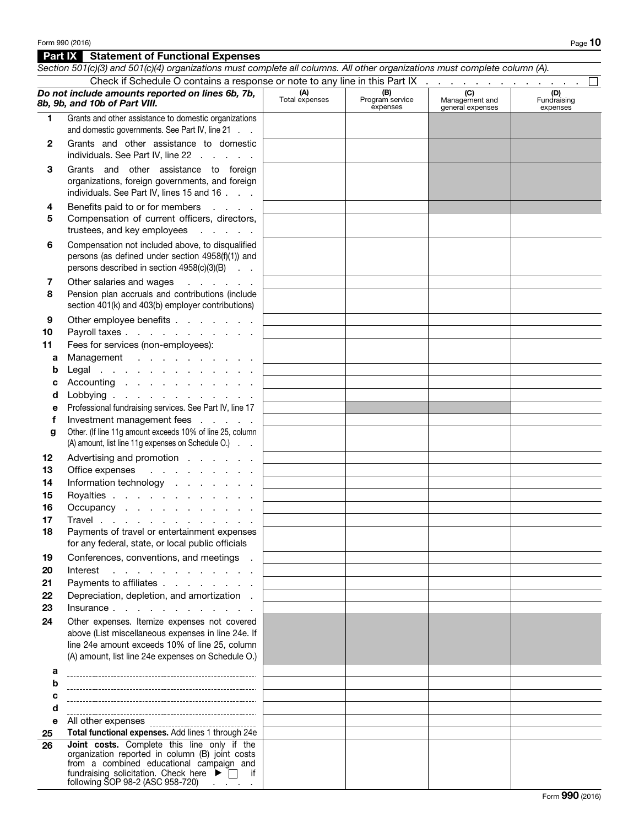## **Part IX** Statement of Functional Expenses *Section 501(c)(3) and 501(c)(4) organizations must complete all columns. All other organizations must complete column (A).* Check if Schedule O contains a response or note to any line in this Part IX  $\ldots$  . . . . . . . . . .  $\Box$ *Do not include amounts reported on lines 6b, 7b,*  (A)

| Do not include amounts reported on lines 6b, 7b,<br>8b, 9b, and 10b of Part VIII. |                                                                                                                                                                                                                                                      | (A)<br>Total expenses | (B)<br>Program service<br>expenses | (C)<br>Management and<br>general expenses | (D)<br>Fundraising<br>expenses |
|-----------------------------------------------------------------------------------|------------------------------------------------------------------------------------------------------------------------------------------------------------------------------------------------------------------------------------------------------|-----------------------|------------------------------------|-------------------------------------------|--------------------------------|
| 1                                                                                 | Grants and other assistance to domestic organizations<br>and domestic governments. See Part IV, line 21                                                                                                                                              |                       |                                    |                                           |                                |
| 2                                                                                 | Grants and other assistance to domestic<br>individuals. See Part IV, line $22 \cdot \cdot \cdot \cdot$                                                                                                                                               |                       |                                    |                                           |                                |
| 3                                                                                 | Grants and other assistance to foreign<br>organizations, foreign governments, and foreign<br>individuals. See Part IV, lines 15 and 16                                                                                                               |                       |                                    |                                           |                                |
| 4<br>5                                                                            | Benefits paid to or for members<br><b>Contractor</b><br>Compensation of current officers, directors,<br>trustees, and key employees                                                                                                                  |                       |                                    |                                           |                                |
| 6                                                                                 | Compensation not included above, to disqualified<br>persons (as defined under section 4958(f)(1)) and<br>persons described in section 4958(c)(3)(B)                                                                                                  |                       |                                    |                                           |                                |
| 7<br>8                                                                            | Other salaries and wages<br>and a strong state<br>Pension plan accruals and contributions (include<br>section 401(k) and 403(b) employer contributions)                                                                                              |                       |                                    |                                           |                                |
| 9                                                                                 | Other employee benefits                                                                                                                                                                                                                              |                       |                                    |                                           |                                |
| 10                                                                                | Payroll taxes                                                                                                                                                                                                                                        |                       |                                    |                                           |                                |
| 11                                                                                | Fees for services (non-employees):                                                                                                                                                                                                                   |                       |                                    |                                           |                                |
| а                                                                                 | Management                                                                                                                                                                                                                                           |                       |                                    |                                           |                                |
| b                                                                                 | Legal                                                                                                                                                                                                                                                |                       |                                    |                                           |                                |
| с<br>d                                                                            | Accounting $\cdots$ $\cdots$ $\cdots$<br>Lobbying                                                                                                                                                                                                    |                       |                                    |                                           |                                |
| е                                                                                 | Professional fundraising services. See Part IV, line 17                                                                                                                                                                                              |                       |                                    |                                           |                                |
| f                                                                                 | Investment management fees                                                                                                                                                                                                                           |                       |                                    |                                           |                                |
| g                                                                                 | Other. (If line 11g amount exceeds 10% of line 25, column                                                                                                                                                                                            |                       |                                    |                                           |                                |
|                                                                                   | (A) amount, list line 11g expenses on Schedule O.)                                                                                                                                                                                                   |                       |                                    |                                           |                                |
| 12                                                                                | Advertising and promotion                                                                                                                                                                                                                            |                       |                                    |                                           |                                |
| 13                                                                                | Office expenses                                                                                                                                                                                                                                      |                       |                                    |                                           |                                |
| 14                                                                                | Information technology                                                                                                                                                                                                                               |                       |                                    |                                           |                                |
| 15                                                                                | Royalties                                                                                                                                                                                                                                            |                       |                                    |                                           |                                |
| 16                                                                                | Occupancy                                                                                                                                                                                                                                            |                       |                                    |                                           |                                |
| 17<br>18                                                                          | Travel<br>Payments of travel or entertainment expenses<br>for any federal, state, or local public officials                                                                                                                                          |                       |                                    |                                           |                                |
| 19                                                                                | Conferences, conventions, and meetings .                                                                                                                                                                                                             |                       |                                    |                                           |                                |
| 20                                                                                | Interest<br>the contract of the contract of the contract of                                                                                                                                                                                          |                       |                                    |                                           |                                |
| 21                                                                                | Payments to affiliates                                                                                                                                                                                                                               |                       |                                    |                                           |                                |
| 22                                                                                | Depreciation, depletion, and amortization.                                                                                                                                                                                                           |                       |                                    |                                           |                                |
| 23                                                                                | $insurance \ldots \ldots \ldots \ldots$                                                                                                                                                                                                              |                       |                                    |                                           |                                |
| 24                                                                                | Other expenses. Itemize expenses not covered<br>above (List miscellaneous expenses in line 24e. If<br>line 24e amount exceeds 10% of line 25, column<br>(A) amount, list line 24e expenses on Schedule O.)                                           |                       |                                    |                                           |                                |
| а                                                                                 |                                                                                                                                                                                                                                                      |                       |                                    |                                           |                                |
| b                                                                                 |                                                                                                                                                                                                                                                      |                       |                                    |                                           |                                |
| c                                                                                 |                                                                                                                                                                                                                                                      |                       |                                    |                                           |                                |
| d                                                                                 |                                                                                                                                                                                                                                                      |                       |                                    |                                           |                                |
| е                                                                                 | All other expenses<br>-------------------------------                                                                                                                                                                                                |                       |                                    |                                           |                                |
| 25                                                                                | Total functional expenses. Add lines 1 through 24e                                                                                                                                                                                                   |                       |                                    |                                           |                                |
| 26                                                                                | Joint costs. Complete this line only if the<br>organization reported in column (B) joint costs<br>from a combined educational campaign and<br>fundraising solicitation. Check here $\blacktriangleright \Box$ if<br>following SOP 98-2 (ASC 958-720) |                       |                                    |                                           |                                |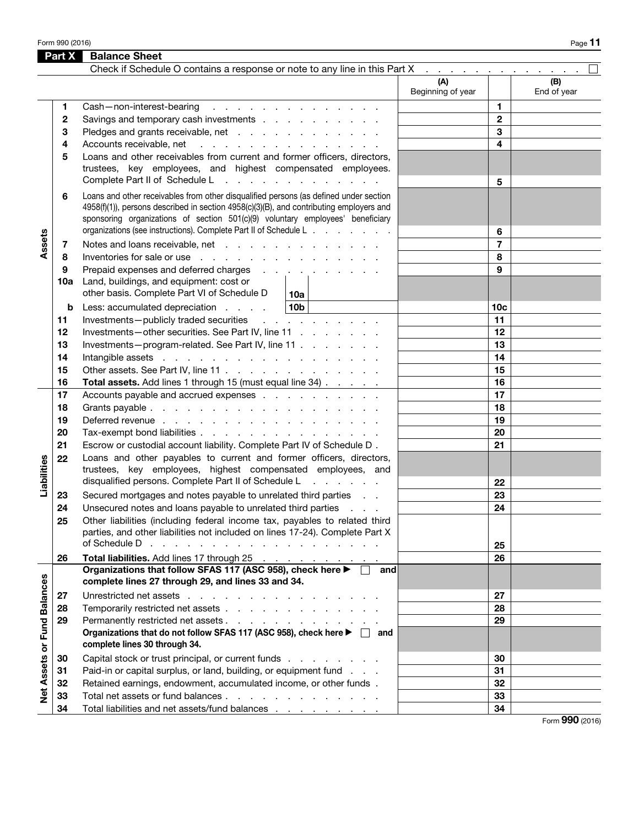Form 990 (2016) Page 11  $P$ 

|                                                                            | Part X | <b>Balance Sheet</b>                                                                                                                                                                                                                                                                                                                    |                          |                 |                    |  |  |
|----------------------------------------------------------------------------|--------|-----------------------------------------------------------------------------------------------------------------------------------------------------------------------------------------------------------------------------------------------------------------------------------------------------------------------------------------|--------------------------|-----------------|--------------------|--|--|
| Check if Schedule O contains a response or note to any line in this Part X |        |                                                                                                                                                                                                                                                                                                                                         |                          |                 |                    |  |  |
|                                                                            |        |                                                                                                                                                                                                                                                                                                                                         | (A)<br>Beginning of year |                 | (B)<br>End of year |  |  |
|                                                                            | 1.     | Cash-non-interest-bearing<br>the contract of the contract of the contract of                                                                                                                                                                                                                                                            |                          | 1.              |                    |  |  |
|                                                                            | 2      | Savings and temporary cash investments                                                                                                                                                                                                                                                                                                  |                          | $\mathbf{2}$    |                    |  |  |
|                                                                            | 3      | Pledges and grants receivable, net                                                                                                                                                                                                                                                                                                      |                          | 3               |                    |  |  |
|                                                                            | 4      | Accounts receivable, net<br>and the contract of the contract of the contract of                                                                                                                                                                                                                                                         |                          | 4               |                    |  |  |
|                                                                            | 5      | Loans and other receivables from current and former officers, directors,<br>trustees, key employees, and highest compensated employees.<br>Complete Part II of Schedule L<br>and a series of the contract of the contract of                                                                                                            |                          | 5               |                    |  |  |
|                                                                            | 6      | Loans and other receivables from other disqualified persons (as defined under section<br>4958(f)(1)), persons described in section 4958(c)(3)(B), and contributing employers and<br>sponsoring organizations of section 501(c)(9) voluntary employees' beneficiary<br>organizations (see instructions). Complete Part II of Schedule L. |                          | 6               |                    |  |  |
| Assets                                                                     | 7      | Notes and loans receivable, net                                                                                                                                                                                                                                                                                                         |                          | 7               |                    |  |  |
|                                                                            | 8      | Inventories for sale or use                                                                                                                                                                                                                                                                                                             |                          | 8               |                    |  |  |
|                                                                            | 9      | Prepaid expenses and deferred charges                                                                                                                                                                                                                                                                                                   |                          | 9               |                    |  |  |
|                                                                            | 10a    | Land, buildings, and equipment: cost or<br>other basis. Complete Part VI of Schedule D<br>10a                                                                                                                                                                                                                                           |                          |                 |                    |  |  |
|                                                                            | b      | 10 <sub>b</sub><br>Less: accumulated depreciation                                                                                                                                                                                                                                                                                       |                          | 10 <sub>c</sub> |                    |  |  |
|                                                                            | 11     | Investments-publicly traded securities<br>and a straightful contract and a                                                                                                                                                                                                                                                              |                          | 11              |                    |  |  |
|                                                                            | 12     | Investments-other securities. See Part IV, line 11                                                                                                                                                                                                                                                                                      |                          | 12              |                    |  |  |
|                                                                            | 13     | Investments-program-related. See Part IV, line 11                                                                                                                                                                                                                                                                                       |                          | 13              |                    |  |  |
|                                                                            | 14     | Intangible assets in the contract of the contract of the contract of the contract of the contract of the contract of the contract of the contract of the contract of the contract of the contract of the contract of the contr                                                                                                          |                          | 14              |                    |  |  |
|                                                                            | 15     | Other assets. See Part IV, line 11                                                                                                                                                                                                                                                                                                      |                          | 15              |                    |  |  |
|                                                                            | 16     | Total assets. Add lines 1 through 15 (must equal line 34)                                                                                                                                                                                                                                                                               |                          | 16              |                    |  |  |
|                                                                            | 17     | Accounts payable and accrued expenses                                                                                                                                                                                                                                                                                                   |                          | 17              |                    |  |  |
|                                                                            | 18     |                                                                                                                                                                                                                                                                                                                                         |                          | 18              |                    |  |  |
|                                                                            | 19     | Deferred revenue                                                                                                                                                                                                                                                                                                                        |                          | 19              |                    |  |  |
|                                                                            | 20     | Tax-exempt bond liabilities                                                                                                                                                                                                                                                                                                             |                          | 20              |                    |  |  |
|                                                                            | 21     | Escrow or custodial account liability. Complete Part IV of Schedule D.                                                                                                                                                                                                                                                                  |                          | 21              |                    |  |  |
| Liabilities                                                                | 22     | Loans and other payables to current and former officers, directors,<br>trustees, key employees, highest compensated employees, and                                                                                                                                                                                                      |                          |                 |                    |  |  |
|                                                                            |        | disqualified persons. Complete Part II of Schedule L                                                                                                                                                                                                                                                                                    |                          | 22              |                    |  |  |
|                                                                            | 23     | Secured mortgages and notes payable to unrelated third parties                                                                                                                                                                                                                                                                          |                          | 23              |                    |  |  |
|                                                                            | 24     | Unsecured notes and loans payable to unrelated third parties                                                                                                                                                                                                                                                                            |                          | 24              |                    |  |  |
|                                                                            | 25     | Other liabilities (including federal income tax, payables to related third<br>parties, and other liabilities not included on lines 17-24). Complete Part X                                                                                                                                                                              |                          |                 |                    |  |  |
|                                                                            |        |                                                                                                                                                                                                                                                                                                                                         |                          | 25              |                    |  |  |
|                                                                            | 26     | Total liabilities. Add lines 17 through 25                                                                                                                                                                                                                                                                                              |                          | 26              |                    |  |  |
| Net Assets or Fund Balances                                                |        | Organizations that follow SFAS 117 (ASC 958), check here ▶ □ and<br>complete lines 27 through 29, and lines 33 and 34.                                                                                                                                                                                                                  |                          |                 |                    |  |  |
|                                                                            | 27     | Unrestricted net assets                                                                                                                                                                                                                                                                                                                 |                          | 27              |                    |  |  |
|                                                                            | 28     | Temporarily restricted net assets                                                                                                                                                                                                                                                                                                       |                          | 28              |                    |  |  |
|                                                                            | 29     | Permanently restricted net assets                                                                                                                                                                                                                                                                                                       |                          | 29              |                    |  |  |
|                                                                            |        | Organizations that do not follow SFAS 117 (ASC 958), check here ▶ □ and<br>complete lines 30 through 34.                                                                                                                                                                                                                                |                          |                 |                    |  |  |
|                                                                            | 30     | Capital stock or trust principal, or current funds                                                                                                                                                                                                                                                                                      |                          | 30              |                    |  |  |
|                                                                            | 31     | Paid-in or capital surplus, or land, building, or equipment fund                                                                                                                                                                                                                                                                        |                          | 31              |                    |  |  |
|                                                                            | 32     | Retained earnings, endowment, accumulated income, or other funds.                                                                                                                                                                                                                                                                       |                          | 32              |                    |  |  |
|                                                                            | 33     | Total net assets or fund balances                                                                                                                                                                                                                                                                                                       |                          | 33              |                    |  |  |
|                                                                            | 34     | Total liabilities and net assets/fund balances                                                                                                                                                                                                                                                                                          |                          | 34              |                    |  |  |

Form 990 (2016)